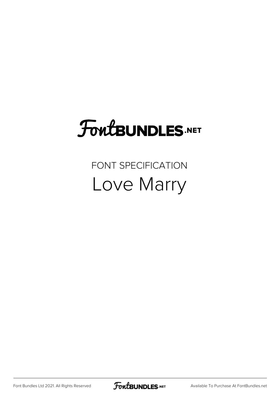# **FoutBUNDLES.NET**

### FONT SPECIFICATION Love Marry

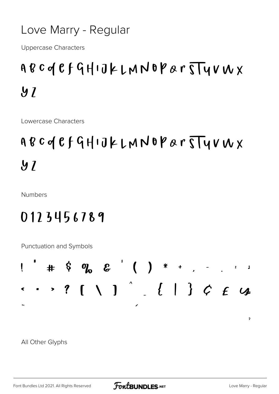#### Love Marry - Regular

**Uppercase Characters** 

## ABCOCFGHIJKLMNOPArTTYVWX  $\boldsymbol{y}$

Lowercase Characters

## ABCOCFGHIJKLMNOPArTYVWX  $\boldsymbol{9}$   $\boldsymbol{7}$

**Numbers** 

#### 0123456789

Punctuation and Symbols



All Other Glyphs

 $\overline{\phantom{a}}$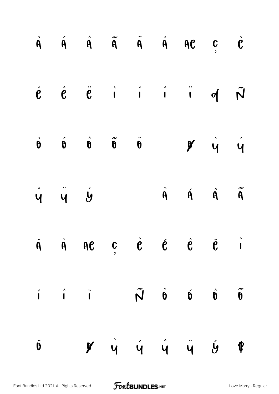|                 |                     | $\dot{A}$ $\dot{A}$ $\ddot{A}$ $\ddot{A}$ $\ddot{A}$ $\dot{A}$ $\dot{A}$ $\dot{B}$ $\ddot{C}$ $\dot{C}$ |  |                                                                                                                                                  |  |
|-----------------|---------------------|---------------------------------------------------------------------------------------------------------|--|--------------------------------------------------------------------------------------------------------------------------------------------------|--|
|                 |                     |                                                                                                         |  | $\vec{e}$ $\vec{e}$ $\vec{e}$ i i i d $\tilde{N}$                                                                                                |  |
|                 |                     |                                                                                                         |  | $\dot{\theta}$ $\dot{\theta}$ $\ddot{\theta}$ $\ddot{\theta}$ $\ddot{\theta}$ $\dot{\theta}$ $\dot{\theta}$ $\dot{\theta}$ $\dot{\theta}$        |  |
|                 | $\hat{y}$ $\hat{y}$ |                                                                                                         |  | $\hat{A}$ $\hat{A}$ $\hat{A}$ $\tilde{A}$                                                                                                        |  |
|                 |                     |                                                                                                         |  | $\dot{A}$ $\dot{A}$ $\dot{A}$ $\dot{C}$ $\dot{C}$ $\dot{C}$ $\dot{C}$ $\dot{C}$ $\dot{C}$                                                        |  |
|                 |                     |                                                                                                         |  | $\tilde{\theta} \qquad \hat{\theta} \qquad \hat{\theta} \qquad \tilde{\theta} \qquad \tilde{\theta} \qquad \tilde{\theta} \qquad \tilde{\theta}$ |  |
| $\ddot{\theta}$ |                     |                                                                                                         |  | $\overrightarrow{y}$ $\overrightarrow{y}$ $\overrightarrow{y}$ $\overrightarrow{y}$ $\overrightarrow{y}$                                         |  |